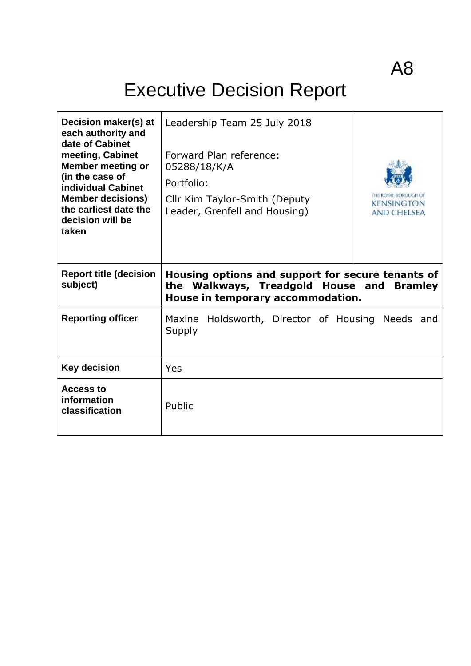# Executive Decision Report

| Decision maker(s) at<br>each authority and<br>date of Cabinet<br>meeting, Cabinet<br><b>Member meeting or</b><br>(in the case of<br>individual Cabinet<br><b>Member decisions)</b><br>the earliest date the<br>decision will be<br>taken | Leadership Team 25 July 2018<br>Forward Plan reference:<br>05288/18/K/A<br>Portfolio:<br>Cllr Kim Taylor-Smith (Deputy<br><b>KENSINGTON</b><br>Leader, Grenfell and Housing)<br><b>AND CHELSEA</b> |
|------------------------------------------------------------------------------------------------------------------------------------------------------------------------------------------------------------------------------------------|----------------------------------------------------------------------------------------------------------------------------------------------------------------------------------------------------|
| <b>Report title (decision</b><br>subject)                                                                                                                                                                                                | Housing options and support for secure tenants of<br>the Walkways, Treadgold House and<br><b>Bramley</b><br>House in temporary accommodation.                                                      |
| <b>Reporting officer</b>                                                                                                                                                                                                                 | Holdsworth, Director of Housing Needs and<br>Maxine<br>Supply                                                                                                                                      |
| <b>Key decision</b>                                                                                                                                                                                                                      | Yes                                                                                                                                                                                                |
| Access to<br>information<br>classification                                                                                                                                                                                               | Public                                                                                                                                                                                             |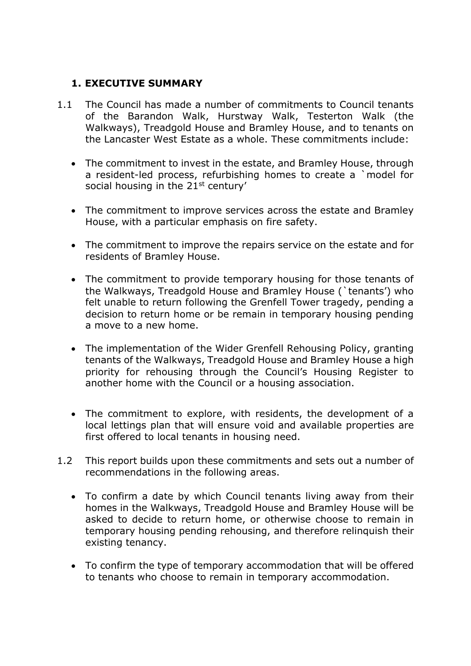# **1. EXECUTIVE SUMMARY**

- 1.1 The Council has made a number of commitments to Council tenants of the Barandon Walk, Hurstway Walk, Testerton Walk (the Walkways), Treadgold House and Bramley House, and to tenants on the Lancaster West Estate as a whole. These commitments include:
	- The commitment to invest in the estate, and Bramley House, through a resident-led process, refurbishing homes to create a `model for social housing in the 21<sup>st</sup> century'
	- The commitment to improve services across the estate and Bramley House, with a particular emphasis on fire safety.
	- The commitment to improve the repairs service on the estate and for residents of Bramley House.
	- The commitment to provide temporary housing for those tenants of the Walkways, Treadgold House and Bramley House (`tenants') who felt unable to return following the Grenfell Tower tragedy, pending a decision to return home or be remain in temporary housing pending a move to a new home.
	- The implementation of the Wider Grenfell Rehousing Policy, granting tenants of the Walkways, Treadgold House and Bramley House a high priority for rehousing through the Council's Housing Register to another home with the Council or a housing association.
	- The commitment to explore, with residents, the development of a local lettings plan that will ensure void and available properties are first offered to local tenants in housing need.
- 1.2 This report builds upon these commitments and sets out a number of recommendations in the following areas.
	- To confirm a date by which Council tenants living away from their homes in the Walkways, Treadgold House and Bramley House will be asked to decide to return home, or otherwise choose to remain in temporary housing pending rehousing, and therefore relinquish their existing tenancy.
	- To confirm the type of temporary accommodation that will be offered to tenants who choose to remain in temporary accommodation.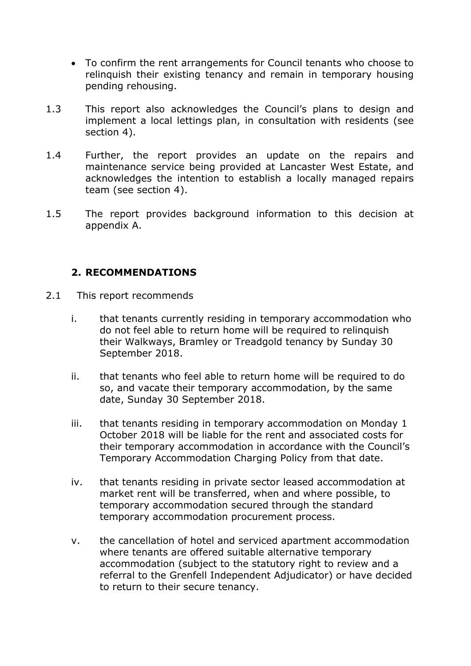- To confirm the rent arrangements for Council tenants who choose to relinquish their existing tenancy and remain in temporary housing pending rehousing.
- 1.3 This report also acknowledges the Council's plans to design and implement a local lettings plan, in consultation with residents (see section 4).
- 1.4 Further, the report provides an update on the repairs and maintenance service being provided at Lancaster West Estate, and acknowledges the intention to establish a locally managed repairs team (see section 4).
- 1.5 The report provides background information to this decision at appendix A.

# **2. RECOMMENDATIONS**

- 2.1 This report recommends
	- i. that tenants currently residing in temporary accommodation who do not feel able to return home will be required to relinquish their Walkways, Bramley or Treadgold tenancy by Sunday 30 September 2018.
	- ii. that tenants who feel able to return home will be required to do so, and vacate their temporary accommodation, by the same date, Sunday 30 September 2018.
	- iii. that tenants residing in temporary accommodation on Monday 1 October 2018 will be liable for the rent and associated costs for their temporary accommodation in accordance with the Council's Temporary Accommodation Charging Policy from that date.
	- iv. that tenants residing in private sector leased accommodation at market rent will be transferred, when and where possible, to temporary accommodation secured through the standard temporary accommodation procurement process.
	- v. the cancellation of hotel and serviced apartment accommodation where tenants are offered suitable alternative temporary accommodation (subject to the statutory right to review and a referral to the Grenfell Independent Adjudicator) or have decided to return to their secure tenancy.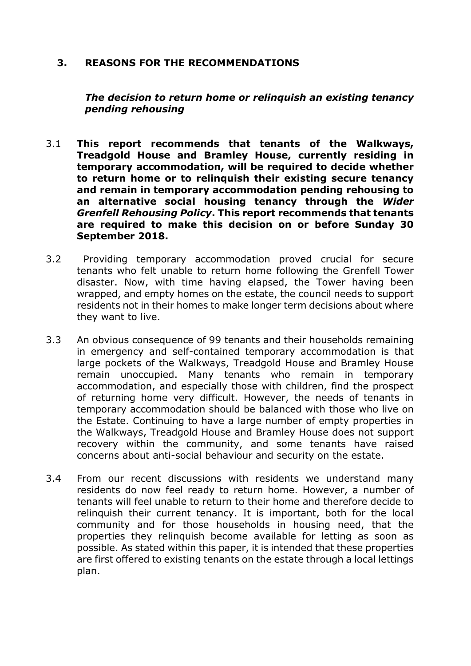### **3. REASONS FOR THE RECOMMENDATIONS**

*The decision to return home or relinquish an existing tenancy pending rehousing*

- 3.1 **This report recommends that tenants of the Walkways, Treadgold House and Bramley House, currently residing in temporary accommodation, will be required to decide whether to return home or to relinquish their existing secure tenancy and remain in temporary accommodation pending rehousing to an alternative social housing tenancy through the** *Wider Grenfell Rehousing Policy***. This report recommends that tenants are required to make this decision on or before Sunday 30 September 2018.**
- 3.2 Providing temporary accommodation proved crucial for secure tenants who felt unable to return home following the Grenfell Tower disaster. Now, with time having elapsed, the Tower having been wrapped, and empty homes on the estate, the council needs to support residents not in their homes to make longer term decisions about where they want to live.
- 3.3 An obvious consequence of 99 tenants and their households remaining in emergency and self-contained temporary accommodation is that large pockets of the Walkways, Treadgold House and Bramley House remain unoccupied. Many tenants who remain in temporary accommodation, and especially those with children, find the prospect of returning home very difficult. However, the needs of tenants in temporary accommodation should be balanced with those who live on the Estate. Continuing to have a large number of empty properties in the Walkways, Treadgold House and Bramley House does not support recovery within the community, and some tenants have raised concerns about anti-social behaviour and security on the estate.
- 3.4 From our recent discussions with residents we understand many residents do now feel ready to return home. However, a number of tenants will feel unable to return to their home and therefore decide to relinquish their current tenancy. It is important, both for the local community and for those households in housing need, that the properties they relinquish become available for letting as soon as possible. As stated within this paper, it is intended that these properties are first offered to existing tenants on the estate through a local lettings plan.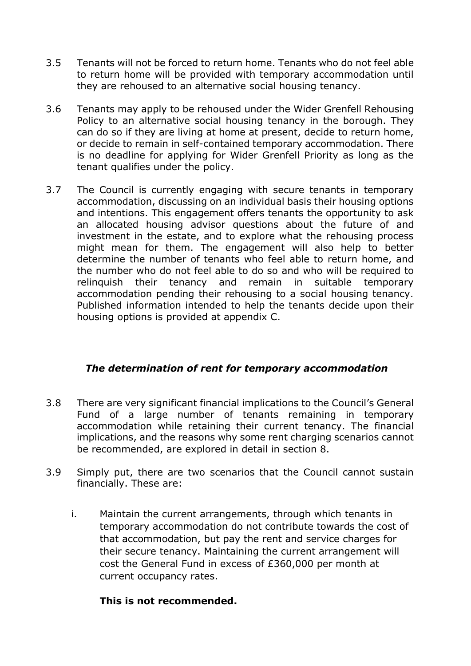- 3.5 Tenants will not be forced to return home. Tenants who do not feel able to return home will be provided with temporary accommodation until they are rehoused to an alternative social housing tenancy.
- 3.6 Tenants may apply to be rehoused under the Wider Grenfell Rehousing Policy to an alternative social housing tenancy in the borough. They can do so if they are living at home at present, decide to return home, or decide to remain in self-contained temporary accommodation. There is no deadline for applying for Wider Grenfell Priority as long as the tenant qualifies under the policy.
- 3.7 The Council is currently engaging with secure tenants in temporary accommodation, discussing on an individual basis their housing options and intentions. This engagement offers tenants the opportunity to ask an allocated housing advisor questions about the future of and investment in the estate, and to explore what the rehousing process might mean for them. The engagement will also help to better determine the number of tenants who feel able to return home, and the number who do not feel able to do so and who will be required to relinquish their tenancy and remain in suitable temporary accommodation pending their rehousing to a social housing tenancy. Published information intended to help the tenants decide upon their housing options is provided at appendix C.

### *The determination of rent for temporary accommodation*

- 3.8 There are very significant financial implications to the Council's General Fund of a large number of tenants remaining in temporary accommodation while retaining their current tenancy. The financial implications, and the reasons why some rent charging scenarios cannot be recommended, are explored in detail in section 8.
- 3.9 Simply put, there are two scenarios that the Council cannot sustain financially. These are:
	- i. Maintain the current arrangements, through which tenants in temporary accommodation do not contribute towards the cost of that accommodation, but pay the rent and service charges for their secure tenancy. Maintaining the current arrangement will cost the General Fund in excess of £360,000 per month at current occupancy rates.

### **This is not recommended.**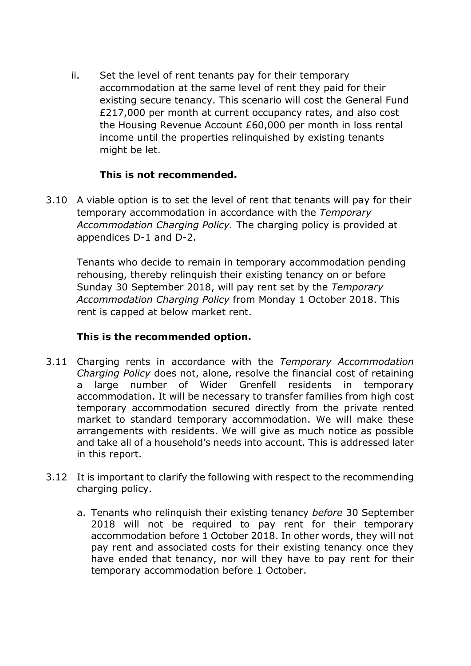ii. Set the level of rent tenants pay for their temporary accommodation at the same level of rent they paid for their existing secure tenancy. This scenario will cost the General Fund £217,000 per month at current occupancy rates, and also cost the Housing Revenue Account £60,000 per month in loss rental income until the properties relinquished by existing tenants might be let.

# **This is not recommended.**

3.10 A viable option is to set the level of rent that tenants will pay for their temporary accommodation in accordance with the *Temporary Accommodation Charging Policy.* The charging policy is provided at appendices D-1 and D-2.

Tenants who decide to remain in temporary accommodation pending rehousing, thereby relinquish their existing tenancy on or before Sunday 30 September 2018, will pay rent set by the *Temporary Accommodation Charging Policy* from Monday 1 October 2018. This rent is capped at below market rent.

# **This is the recommended option.**

- 3.11 Charging rents in accordance with the *Temporary Accommodation Charging Policy* does not, alone, resolve the financial cost of retaining a large number of Wider Grenfell residents in temporary accommodation. It will be necessary to transfer families from high cost temporary accommodation secured directly from the private rented market to standard temporary accommodation. We will make these arrangements with residents. We will give as much notice as possible and take all of a household's needs into account. This is addressed later in this report.
- 3.12 It is important to clarify the following with respect to the recommending charging policy.
	- a. Tenants who relinquish their existing tenancy *before* 30 September 2018 will not be required to pay rent for their temporary accommodation before 1 October 2018. In other words, they will not pay rent and associated costs for their existing tenancy once they have ended that tenancy, nor will they have to pay rent for their temporary accommodation before 1 October.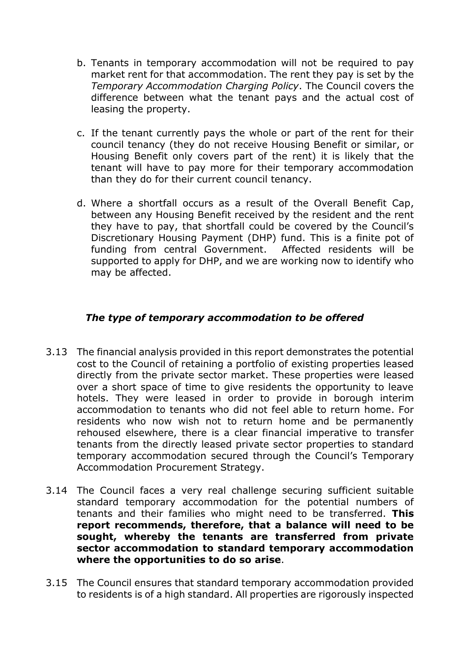- b. Tenants in temporary accommodation will not be required to pay market rent for that accommodation. The rent they pay is set by the *Temporary Accommodation Charging Policy*. The Council covers the difference between what the tenant pays and the actual cost of leasing the property.
- c. If the tenant currently pays the whole or part of the rent for their council tenancy (they do not receive Housing Benefit or similar, or Housing Benefit only covers part of the rent) it is likely that the tenant will have to pay more for their temporary accommodation than they do for their current council tenancy.
- d. Where a shortfall occurs as a result of the Overall Benefit Cap, between any Housing Benefit received by the resident and the rent they have to pay, that shortfall could be covered by the Council's Discretionary Housing Payment (DHP) fund. This is a finite pot of funding from central Government. Affected residents will be supported to apply for DHP, and we are working now to identify who may be affected.

# *The type of temporary accommodation to be offered*

- 3.13 The financial analysis provided in this report demonstrates the potential cost to the Council of retaining a portfolio of existing properties leased directly from the private sector market. These properties were leased over a short space of time to give residents the opportunity to leave hotels. They were leased in order to provide in borough interim accommodation to tenants who did not feel able to return home. For residents who now wish not to return home and be permanently rehoused elsewhere, there is a clear financial imperative to transfer tenants from the directly leased private sector properties to standard temporary accommodation secured through the Council's Temporary Accommodation Procurement Strategy.
- 3.14 The Council faces a very real challenge securing sufficient suitable standard temporary accommodation for the potential numbers of tenants and their families who might need to be transferred. **This report recommends, therefore, that a balance will need to be sought, whereby the tenants are transferred from private sector accommodation to standard temporary accommodation where the opportunities to do so arise**.
- 3.15 The Council ensures that standard temporary accommodation provided to residents is of a high standard. All properties are rigorously inspected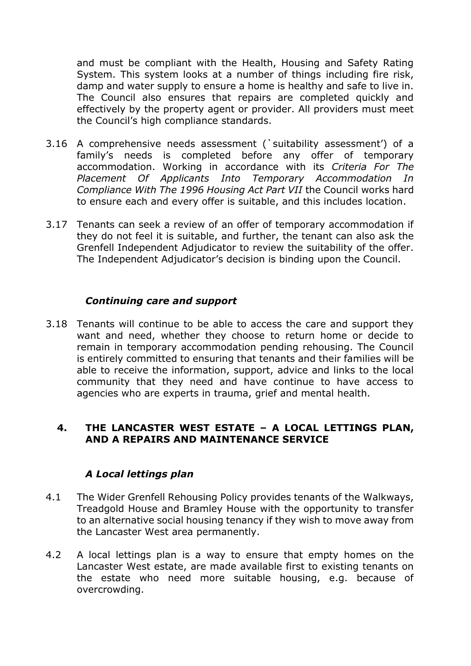and must be compliant with the Health, Housing and Safety Rating System. This system looks at a number of things including fire risk, damp and water supply to ensure a home is healthy and safe to live in. The Council also ensures that repairs are completed quickly and effectively by the property agent or provider. All providers must meet the Council's high compliance standards.

- 3.16 A comprehensive needs assessment (`suitability assessment') of a family's needs is completed before any offer of temporary accommodation. Working in accordance with its *Criteria For The Placement Of Applicants Into Temporary Accommodation In Compliance With The 1996 Housing Act Part VII* the Council works hard to ensure each and every offer is suitable, and this includes location.
- 3.17 Tenants can seek a review of an offer of temporary accommodation if they do not feel it is suitable, and further, the tenant can also ask the Grenfell Independent Adjudicator to review the suitability of the offer. The Independent Adjudicator's decision is binding upon the Council.

### *Continuing care and support*

3.18 Tenants will continue to be able to access the care and support they want and need, whether they choose to return home or decide to remain in temporary accommodation pending rehousing. The Council is entirely committed to ensuring that tenants and their families will be able to receive the information, support, advice and links to the local community that they need and have continue to have access to agencies who are experts in trauma, grief and mental health.

#### **4. THE LANCASTER WEST ESTATE – A LOCAL LETTINGS PLAN, AND A REPAIRS AND MAINTENANCE SERVICE**

#### *A Local lettings plan*

- 4.1 The Wider Grenfell Rehousing Policy provides tenants of the Walkways, Treadgold House and Bramley House with the opportunity to transfer to an alternative social housing tenancy if they wish to move away from the Lancaster West area permanently.
- 4.2 A local lettings plan is a way to ensure that empty homes on the Lancaster West estate, are made available first to existing tenants on the estate who need more suitable housing, e.g. because of overcrowding.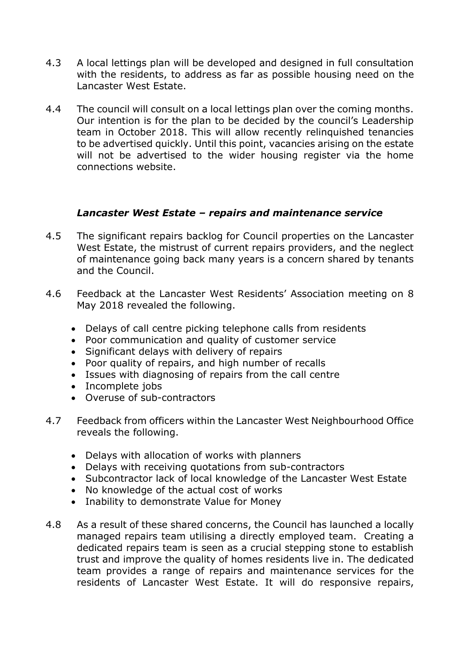- 4.3 A local lettings plan will be developed and designed in full consultation with the residents, to address as far as possible housing need on the Lancaster West Estate.
- 4.4 The council will consult on a local lettings plan over the coming months. Our intention is for the plan to be decided by the council's Leadership team in October 2018. This will allow recently relinquished tenancies to be advertised quickly. Until this point, vacancies arising on the estate will not be advertised to the wider housing register via the home connections website.

### *Lancaster West Estate – repairs and maintenance service*

- 4.5 The significant repairs backlog for Council properties on the Lancaster West Estate, the mistrust of current repairs providers, and the neglect of maintenance going back many years is a concern shared by tenants and the Council.
- 4.6 Feedback at the Lancaster West Residents' Association meeting on 8 May 2018 revealed the following.
	- Delays of call centre picking telephone calls from residents
	- Poor communication and quality of customer service
	- Significant delays with delivery of repairs
	- Poor quality of repairs, and high number of recalls
	- Issues with diagnosing of repairs from the call centre
	- Incomplete jobs
	- Overuse of sub-contractors
- 4.7 Feedback from officers within the Lancaster West Neighbourhood Office reveals the following.
	- Delays with allocation of works with planners
	- Delays with receiving quotations from sub-contractors
	- Subcontractor lack of local knowledge of the Lancaster West Estate
	- No knowledge of the actual cost of works
	- Inability to demonstrate Value for Money
- 4.8 As a result of these shared concerns, the Council has launched a locally managed repairs team utilising a directly employed team. Creating a dedicated repairs team is seen as a crucial stepping stone to establish trust and improve the quality of homes residents live in. The dedicated team provides a range of repairs and maintenance services for the residents of Lancaster West Estate. It will do responsive repairs,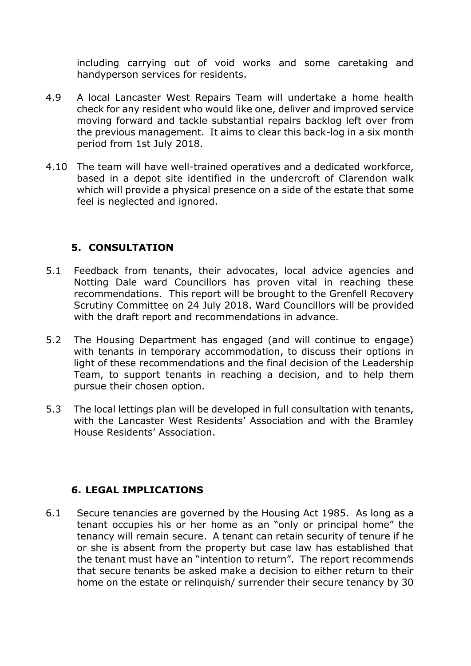including carrying out of void works and some caretaking and handyperson services for residents.

- 4.9 A local Lancaster West Repairs Team will undertake a home health check for any resident who would like one, deliver and improved service moving forward and tackle substantial repairs backlog left over from the previous management. It aims to clear this back-log in a six month period from 1st July 2018.
- 4.10 The team will have well-trained operatives and a dedicated workforce, based in a depot site identified in the undercroft of Clarendon walk which will provide a physical presence on a side of the estate that some feel is neglected and ignored.

# **5. CONSULTATION**

- 5.1 Feedback from tenants, their advocates, local advice agencies and Notting Dale ward Councillors has proven vital in reaching these recommendations. This report will be brought to the Grenfell Recovery Scrutiny Committee on 24 July 2018. Ward Councillors will be provided with the draft report and recommendations in advance.
- 5.2 The Housing Department has engaged (and will continue to engage) with tenants in temporary accommodation, to discuss their options in light of these recommendations and the final decision of the Leadership Team, to support tenants in reaching a decision, and to help them pursue their chosen option.
- 5.3 The local lettings plan will be developed in full consultation with tenants, with the Lancaster West Residents' Association and with the Bramley House Residents' Association.

# **6. LEGAL IMPLICATIONS**

6.1 Secure tenancies are governed by the Housing Act 1985. As long as a tenant occupies his or her home as an "only or principal home" the tenancy will remain secure. A tenant can retain security of tenure if he or she is absent from the property but case law has established that the tenant must have an "intention to return". The report recommends that secure tenants be asked make a decision to either return to their home on the estate or relinquish/ surrender their secure tenancy by 30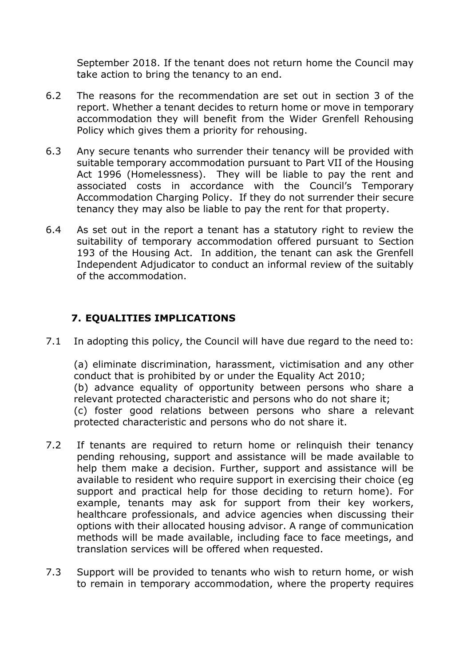September 2018. If the tenant does not return home the Council may take action to bring the tenancy to an end.

- 6.2 The reasons for the recommendation are set out in section 3 of the report. Whether a tenant decides to return home or move in temporary accommodation they will benefit from the Wider Grenfell Rehousing Policy which gives them a priority for rehousing.
- 6.3 Any secure tenants who surrender their tenancy will be provided with suitable temporary accommodation pursuant to Part VII of the Housing Act 1996 (Homelessness). They will be liable to pay the rent and associated costs in accordance with the Council's Temporary Accommodation Charging Policy. If they do not surrender their secure tenancy they may also be liable to pay the rent for that property.
- 6.4 As set out in the report a tenant has a statutory right to review the suitability of temporary accommodation offered pursuant to Section 193 of the Housing Act. In addition, the tenant can ask the Grenfell Independent Adjudicator to conduct an informal review of the suitably of the accommodation.

# **7. EQUALITIES IMPLICATIONS**

7.1 In adopting this policy, the Council will have due regard to the need to:

(a) eliminate discrimination, harassment, victimisation and any other conduct that is prohibited by or under the Equality Act 2010; (b) advance equality of opportunity between persons who share a relevant protected characteristic and persons who do not share it; (c) foster good relations between persons who share a relevant protected characteristic and persons who do not share it.

- 7.2 If tenants are required to return home or relinquish their tenancy pending rehousing, support and assistance will be made available to help them make a decision. Further, support and assistance will be available to resident who require support in exercising their choice (eg support and practical help for those deciding to return home). For example, tenants may ask for support from their key workers, healthcare professionals, and advice agencies when discussing their options with their allocated housing advisor. A range of communication methods will be made available, including face to face meetings, and translation services will be offered when requested.
- 7.3 Support will be provided to tenants who wish to return home, or wish to remain in temporary accommodation, where the property requires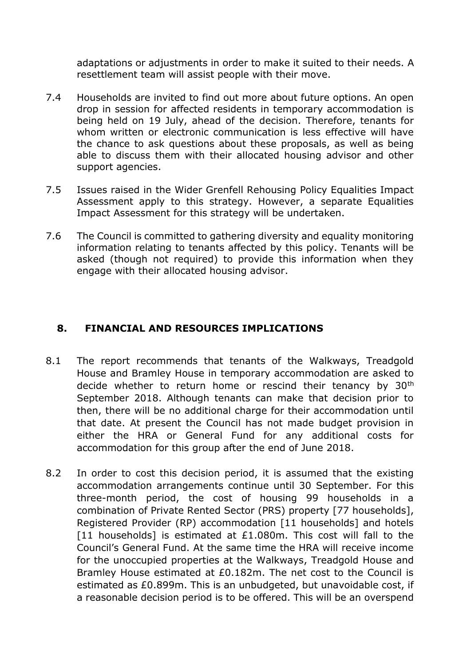adaptations or adjustments in order to make it suited to their needs. A resettlement team will assist people with their move.

- 7.4 Households are invited to find out more about future options. An open drop in session for affected residents in temporary accommodation is being held on 19 July, ahead of the decision. Therefore, tenants for whom written or electronic communication is less effective will have the chance to ask questions about these proposals, as well as being able to discuss them with their allocated housing advisor and other support agencies.
- 7.5 Issues raised in the Wider Grenfell Rehousing Policy Equalities Impact Assessment apply to this strategy. However, a separate Equalities Impact Assessment for this strategy will be undertaken.
- 7.6 The Council is committed to gathering diversity and equality monitoring information relating to tenants affected by this policy. Tenants will be asked (though not required) to provide this information when they engage with their allocated housing advisor.

## **8. FINANCIAL AND RESOURCES IMPLICATIONS**

- 8.1 The report recommends that tenants of the Walkways, Treadgold House and Bramley House in temporary accommodation are asked to decide whether to return home or rescind their tenancy by 30<sup>th</sup> September 2018. Although tenants can make that decision prior to then, there will be no additional charge for their accommodation until that date. At present the Council has not made budget provision in either the HRA or General Fund for any additional costs for accommodation for this group after the end of June 2018.
- 8.2 In order to cost this decision period, it is assumed that the existing accommodation arrangements continue until 30 September. For this three-month period, the cost of housing 99 households in a combination of Private Rented Sector (PRS) property [77 households], Registered Provider (RP) accommodation [11 households] and hotels [11 households] is estimated at  $£1.080$ m. This cost will fall to the Council's General Fund. At the same time the HRA will receive income for the unoccupied properties at the Walkways, Treadgold House and Bramley House estimated at £0.182m. The net cost to the Council is estimated as £0.899m. This is an unbudgeted, but unavoidable cost, if a reasonable decision period is to be offered. This will be an overspend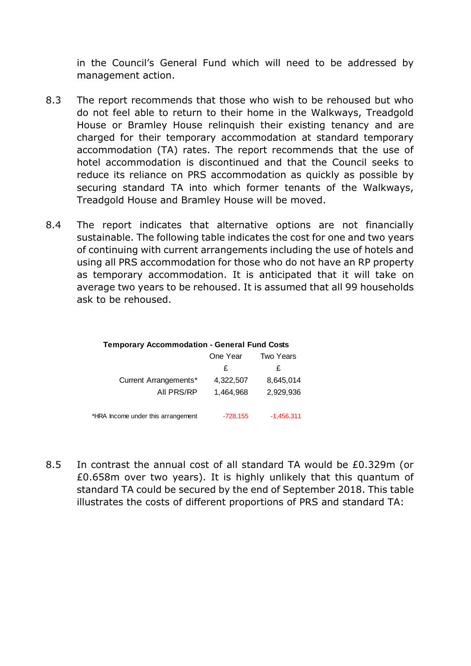in the Council's General Fund which will need to be addressed by management action.

- 8.3 The report recommends that those who wish to be rehoused but who do not feel able to return to their home in the Walkways, Treadgold House or Bramley House relinquish their existing tenancy and are charged for their temporary accommodation at standard temporary accommodation (TA) rates. The report recommends that the use of hotel accommodation is discontinued and that the Council seeks to reduce its reliance on PRS accommodation as quickly as possible by securing standard TA into which former tenants of the Walkways, Treadgold House and Bramley House will be moved.
- 8.4 The report indicates that alternative options are not financially sustainable. The following table indicates the cost for one and two years of continuing with current arrangements including the use of hotels and using all PRS accommodation for those who do not have an RP property as temporary accommodation. It is anticipated that it will take on average two years to be rehoused. It is assumed that all 99 households ask to be rehoused.

|                                    | One Year   | Two Years    |
|------------------------------------|------------|--------------|
|                                    | £          | £            |
| Current Arrangements*              | 4,322,507  | 8,645,014    |
| All PRS/RP                         | 1.464.968  | 2,929,936    |
|                                    |            |              |
| *HRA Income under this arrangement | $-728,155$ | $-1,456,311$ |

8.5 In contrast the annual cost of all standard TA would be £0.329m (or £0.658m over two years). It is highly unlikely that this quantum of standard TA could be secured by the end of September 2018. This table illustrates the costs of different proportions of PRS and standard TA: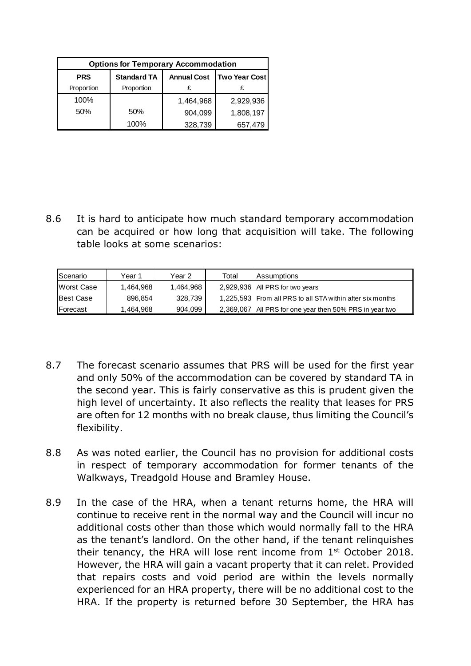| <b>Options for Temporary Accommodation</b> |                    |                    |                      |
|--------------------------------------------|--------------------|--------------------|----------------------|
| <b>PRS</b>                                 | <b>Standard TA</b> | <b>Annual Cost</b> | <b>Two Year Cost</b> |
| Proportion                                 | Proportion         |                    |                      |
| 100%                                       |                    | 1,464,968          | 2,929,936            |
| 50%                                        | 50%                | 904,099            | 1,808,197            |
|                                            | 100%               | 328,739            | 657,479              |

8.6 It is hard to anticipate how much standard temporary accommodation can be acquired or how long that acquisition will take. The following table looks at some scenarios:

| <b>Scenario</b>  | Year 1    | Year 2    | Total | <b>Assumptions</b>                                        |
|------------------|-----------|-----------|-------|-----------------------------------------------------------|
| Worst Case       | 1.464.968 | 1.464.968 |       | 2,929,936   All PRS for two years                         |
| Best Case        | 896,854   | 328.739   |       | 1,225,593 From all PRS to all STA within after six months |
| <b>IForecast</b> | 1.464.968 | 904.099   |       | 2,369,067   All PRS for one year then 50% PRS in year two |

- 8.7 The forecast scenario assumes that PRS will be used for the first year and only 50% of the accommodation can be covered by standard TA in the second year. This is fairly conservative as this is prudent given the high level of uncertainty. It also reflects the reality that leases for PRS are often for 12 months with no break clause, thus limiting the Council's flexibility.
- 8.8 As was noted earlier, the Council has no provision for additional costs in respect of temporary accommodation for former tenants of the Walkways, Treadgold House and Bramley House.
- 8.9 In the case of the HRA, when a tenant returns home, the HRA will continue to receive rent in the normal way and the Council will incur no additional costs other than those which would normally fall to the HRA as the tenant's landlord. On the other hand, if the tenant relinquishes their tenancy, the HRA will lose rent income from  $1<sup>st</sup>$  October 2018. However, the HRA will gain a vacant property that it can relet. Provided that repairs costs and void period are within the levels normally experienced for an HRA property, there will be no additional cost to the HRA. If the property is returned before 30 September, the HRA has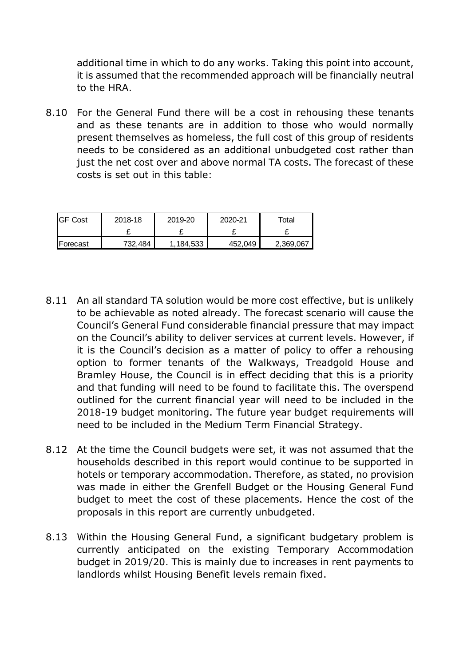additional time in which to do any works. Taking this point into account, it is assumed that the recommended approach will be financially neutral to the HRA.

8.10 For the General Fund there will be a cost in rehousing these tenants and as these tenants are in addition to those who would normally present themselves as homeless, the full cost of this group of residents needs to be considered as an additional unbudgeted cost rather than just the net cost over and above normal TA costs. The forecast of these costs is set out in this table:

| <b>IGF Cost</b> | 2018-18 | 2019-20   | 2020-21 | Total     |
|-----------------|---------|-----------|---------|-----------|
|                 |         | ~         |         |           |
| Forecast        | 732,484 | 1.184.533 | 452,049 | 2,369,067 |

- 8.11 An all standard TA solution would be more cost effective, but is unlikely to be achievable as noted already. The forecast scenario will cause the Council's General Fund considerable financial pressure that may impact on the Council's ability to deliver services at current levels. However, if it is the Council's decision as a matter of policy to offer a rehousing option to former tenants of the Walkways, Treadgold House and Bramley House, the Council is in effect deciding that this is a priority and that funding will need to be found to facilitate this. The overspend outlined for the current financial year will need to be included in the 2018-19 budget monitoring. The future year budget requirements will need to be included in the Medium Term Financial Strategy.
- 8.12 At the time the Council budgets were set, it was not assumed that the households described in this report would continue to be supported in hotels or temporary accommodation. Therefore, as stated, no provision was made in either the Grenfell Budget or the Housing General Fund budget to meet the cost of these placements. Hence the cost of the proposals in this report are currently unbudgeted.
- 8.13 Within the Housing General Fund, a significant budgetary problem is currently anticipated on the existing Temporary Accommodation budget in 2019/20. This is mainly due to increases in rent payments to landlords whilst Housing Benefit levels remain fixed.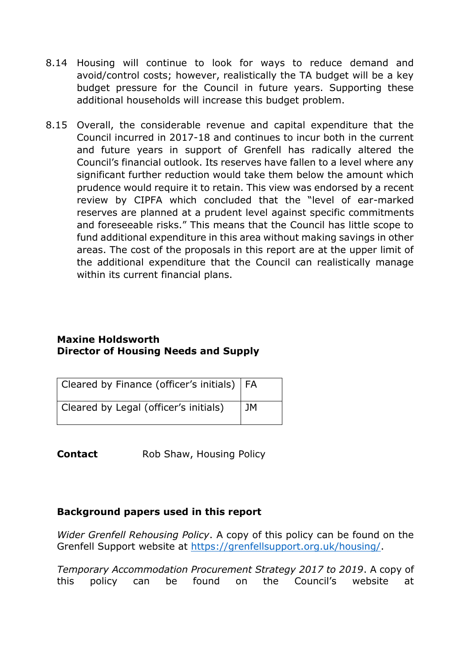- 8.14 Housing will continue to look for ways to reduce demand and avoid/control costs; however, realistically the TA budget will be a key budget pressure for the Council in future years. Supporting these additional households will increase this budget problem.
- 8.15 Overall, the considerable revenue and capital expenditure that the Council incurred in 2017-18 and continues to incur both in the current and future years in support of Grenfell has radically altered the Council's financial outlook. Its reserves have fallen to a level where any significant further reduction would take them below the amount which prudence would require it to retain. This view was endorsed by a recent review by CIPFA which concluded that the "level of ear-marked reserves are planned at a prudent level against specific commitments and foreseeable risks." This means that the Council has little scope to fund additional expenditure in this area without making savings in other areas. The cost of the proposals in this report are at the upper limit of the additional expenditure that the Council can realistically manage within its current financial plans.

### **Maxine Holdsworth Director of Housing Needs and Supply**

| Cleared by Finance (officer's initials)   FA |    |
|----------------------------------------------|----|
| Cleared by Legal (officer's initials)        | JM |

**Contact** Rob Shaw, Housing Policy

# **Background papers used in this report**

*Wider Grenfell Rehousing Policy*. A copy of this policy can be found on the Grenfell Support website at [https://grenfellsupport.org.uk/housing/.](https://grenfellsupport.org.uk/housing/)

*Temporary Accommodation Procurement Strategy 2017 to 2019*. A copy of this policy can be found on the Council's website at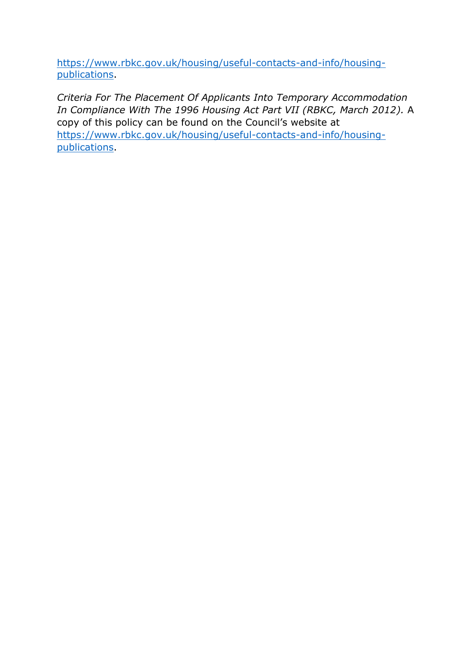[https://www.rbkc.gov.uk/housing/useful-contacts-and-info/housing](https://www.rbkc.gov.uk/housing/useful-contacts-and-info/housing-publications)[publications.](https://www.rbkc.gov.uk/housing/useful-contacts-and-info/housing-publications)

*Criteria For The Placement Of Applicants Into Temporary Accommodation In Compliance With The 1996 Housing Act Part VII (RBKC, March 2012).* A copy of this policy can be found on the Council's website at [https://www.rbkc.gov.uk/housing/useful-contacts-and-info/housing](https://www.rbkc.gov.uk/housing/useful-contacts-and-info/housing-publications)[publications.](https://www.rbkc.gov.uk/housing/useful-contacts-and-info/housing-publications)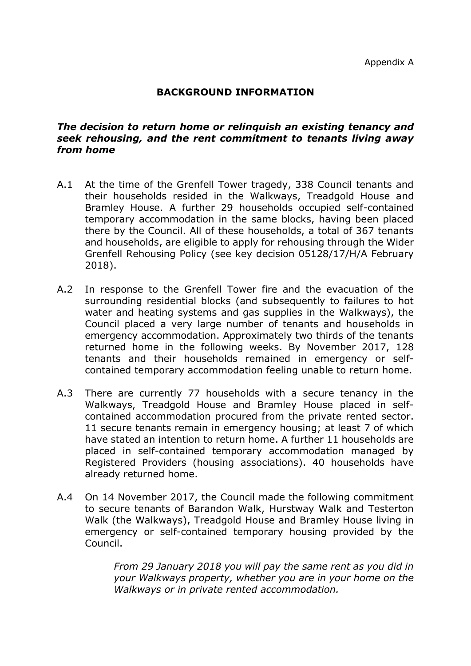### **BACKGROUND INFORMATION**

### *The decision to return home or relinquish an existing tenancy and seek rehousing, and the rent commitment to tenants living away from home*

- A.1 At the time of the Grenfell Tower tragedy, 338 Council tenants and their households resided in the Walkways, Treadgold House and Bramley House. A further 29 households occupied self-contained temporary accommodation in the same blocks, having been placed there by the Council. All of these households, a total of 367 tenants and households, are eligible to apply for rehousing through the Wider Grenfell Rehousing Policy (see key decision 05128/17/H/A February 2018).
- A.2 In response to the Grenfell Tower fire and the evacuation of the surrounding residential blocks (and subsequently to failures to hot water and heating systems and gas supplies in the Walkways), the Council placed a very large number of tenants and households in emergency accommodation. Approximately two thirds of the tenants returned home in the following weeks. By November 2017, 128 tenants and their households remained in emergency or selfcontained temporary accommodation feeling unable to return home.
- A.3 There are currently 77 households with a secure tenancy in the Walkways, Treadgold House and Bramley House placed in selfcontained accommodation procured from the private rented sector. 11 secure tenants remain in emergency housing; at least 7 of which have stated an intention to return home. A further 11 households are placed in self-contained temporary accommodation managed by Registered Providers (housing associations). 40 households have already returned home.
- A.4 On 14 November 2017, the Council made the following commitment to secure tenants of Barandon Walk, Hurstway Walk and Testerton Walk (the Walkways), Treadgold House and Bramley House living in emergency or self-contained temporary housing provided by the Council.

*From 29 January 2018 you will pay the same rent as you did in your Walkways property, whether you are in your home on the Walkways or in private rented accommodation.*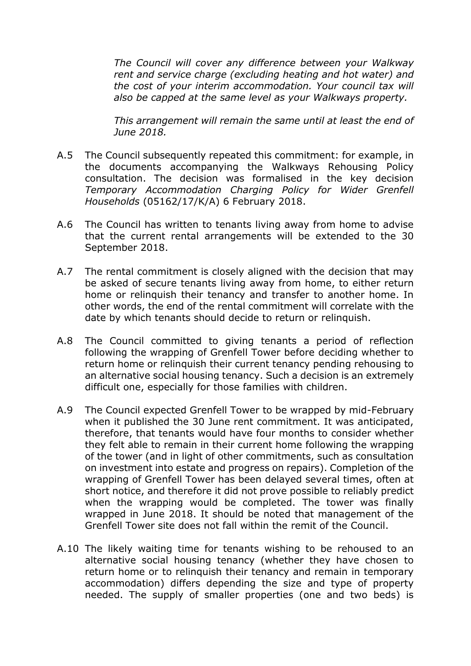*The Council will cover any difference between your Walkway rent and service charge (excluding heating and hot water) and the cost of your interim accommodation. Your council tax will also be capped at the same level as your Walkways property.* 

*This arrangement will remain the same until at least the end of June 2018.*

- A.5 The Council subsequently repeated this commitment: for example, in the documents accompanying the Walkways Rehousing Policy consultation. The decision was formalised in the key decision *Temporary Accommodation Charging Policy for Wider Grenfell Households* (05162/17/K/A) 6 February 2018.
- A.6 The Council has written to tenants living away from home to advise that the current rental arrangements will be extended to the 30 September 2018.
- A.7 The rental commitment is closely aligned with the decision that may be asked of secure tenants living away from home, to either return home or relinquish their tenancy and transfer to another home. In other words, the end of the rental commitment will correlate with the date by which tenants should decide to return or relinquish.
- A.8 The Council committed to giving tenants a period of reflection following the wrapping of Grenfell Tower before deciding whether to return home or relinquish their current tenancy pending rehousing to an alternative social housing tenancy. Such a decision is an extremely difficult one, especially for those families with children.
- A.9 The Council expected Grenfell Tower to be wrapped by mid-February when it published the 30 June rent commitment. It was anticipated, therefore, that tenants would have four months to consider whether they felt able to remain in their current home following the wrapping of the tower (and in light of other commitments, such as consultation on investment into estate and progress on repairs). Completion of the wrapping of Grenfell Tower has been delayed several times, often at short notice, and therefore it did not prove possible to reliably predict when the wrapping would be completed. The tower was finally wrapped in June 2018. It should be noted that management of the Grenfell Tower site does not fall within the remit of the Council.
- A.10 The likely waiting time for tenants wishing to be rehoused to an alternative social housing tenancy (whether they have chosen to return home or to relinquish their tenancy and remain in temporary accommodation) differs depending the size and type of property needed. The supply of smaller properties (one and two beds) is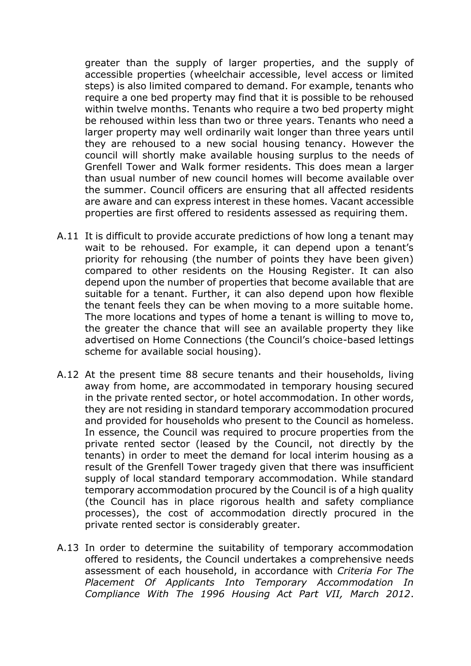greater than the supply of larger properties, and the supply of accessible properties (wheelchair accessible, level access or limited steps) is also limited compared to demand. For example, tenants who require a one bed property may find that it is possible to be rehoused within twelve months. Tenants who require a two bed property might be rehoused within less than two or three years. Tenants who need a larger property may well ordinarily wait longer than three years until they are rehoused to a new social housing tenancy. However the council will shortly make available housing surplus to the needs of Grenfell Tower and Walk former residents. This does mean a larger than usual number of new council homes will become available over the summer. Council officers are ensuring that all affected residents are aware and can express interest in these homes. Vacant accessible properties are first offered to residents assessed as requiring them.

- A.11 It is difficult to provide accurate predictions of how long a tenant may wait to be rehoused. For example, it can depend upon a tenant's priority for rehousing (the number of points they have been given) compared to other residents on the Housing Register. It can also depend upon the number of properties that become available that are suitable for a tenant. Further, it can also depend upon how flexible the tenant feels they can be when moving to a more suitable home. The more locations and types of home a tenant is willing to move to, the greater the chance that will see an available property they like advertised on Home Connections (the Council's choice-based lettings scheme for available social housing).
- A.12 At the present time 88 secure tenants and their households, living away from home, are accommodated in temporary housing secured in the private rented sector, or hotel accommodation. In other words, they are not residing in standard temporary accommodation procured and provided for households who present to the Council as homeless. In essence, the Council was required to procure properties from the private rented sector (leased by the Council, not directly by the tenants) in order to meet the demand for local interim housing as a result of the Grenfell Tower tragedy given that there was insufficient supply of local standard temporary accommodation. While standard temporary accommodation procured by the Council is of a high quality (the Council has in place rigorous health and safety compliance processes), the cost of accommodation directly procured in the private rented sector is considerably greater.
- A.13 In order to determine the suitability of temporary accommodation offered to residents, the Council undertakes a comprehensive needs assessment of each household, in accordance with *Criteria For The Placement Of Applicants Into Temporary Accommodation In Compliance With The 1996 Housing Act Part VII, March 2012*.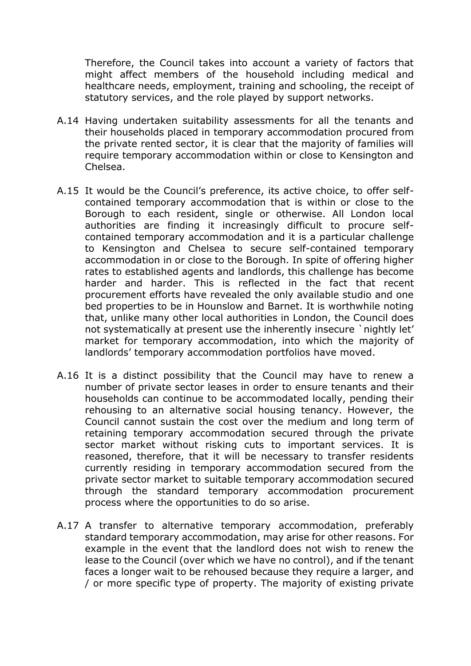Therefore, the Council takes into account a variety of factors that might affect members of the household including medical and healthcare needs, employment, training and schooling, the receipt of statutory services, and the role played by support networks.

- A.14 Having undertaken suitability assessments for all the tenants and their households placed in temporary accommodation procured from the private rented sector, it is clear that the majority of families will require temporary accommodation within or close to Kensington and Chelsea.
- A.15 It would be the Council's preference, its active choice, to offer selfcontained temporary accommodation that is within or close to the Borough to each resident, single or otherwise. All London local authorities are finding it increasingly difficult to procure selfcontained temporary accommodation and it is a particular challenge to Kensington and Chelsea to secure self-contained temporary accommodation in or close to the Borough. In spite of offering higher rates to established agents and landlords, this challenge has become harder and harder. This is reflected in the fact that recent procurement efforts have revealed the only available studio and one bed properties to be in Hounslow and Barnet. It is worthwhile noting that, unlike many other local authorities in London, the Council does not systematically at present use the inherently insecure `nightly let' market for temporary accommodation, into which the majority of landlords' temporary accommodation portfolios have moved.
- A.16 It is a distinct possibility that the Council may have to renew a number of private sector leases in order to ensure tenants and their households can continue to be accommodated locally, pending their rehousing to an alternative social housing tenancy. However, the Council cannot sustain the cost over the medium and long term of retaining temporary accommodation secured through the private sector market without risking cuts to important services. It is reasoned, therefore, that it will be necessary to transfer residents currently residing in temporary accommodation secured from the private sector market to suitable temporary accommodation secured through the standard temporary accommodation procurement process where the opportunities to do so arise.
- A.17 A transfer to alternative temporary accommodation, preferably standard temporary accommodation, may arise for other reasons. For example in the event that the landlord does not wish to renew the lease to the Council (over which we have no control), and if the tenant faces a longer wait to be rehoused because they require a larger, and / or more specific type of property. The majority of existing private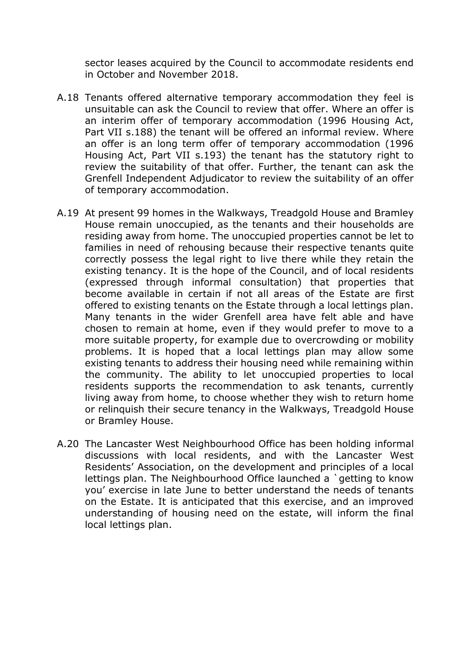sector leases acquired by the Council to accommodate residents end in October and November 2018.

- A.18 Tenants offered alternative temporary accommodation they feel is unsuitable can ask the Council to review that offer. Where an offer is an interim offer of temporary accommodation (1996 Housing Act, Part VII s.188) the tenant will be offered an informal review. Where an offer is an long term offer of temporary accommodation (1996 Housing Act, Part VII s.193) the tenant has the statutory right to review the suitability of that offer. Further, the tenant can ask the Grenfell Independent Adjudicator to review the suitability of an offer of temporary accommodation.
- A.19 At present 99 homes in the Walkways, Treadgold House and Bramley House remain unoccupied, as the tenants and their households are residing away from home. The unoccupied properties cannot be let to families in need of rehousing because their respective tenants quite correctly possess the legal right to live there while they retain the existing tenancy. It is the hope of the Council, and of local residents (expressed through informal consultation) that properties that become available in certain if not all areas of the Estate are first offered to existing tenants on the Estate through a local lettings plan. Many tenants in the wider Grenfell area have felt able and have chosen to remain at home, even if they would prefer to move to a more suitable property, for example due to overcrowding or mobility problems. It is hoped that a local lettings plan may allow some existing tenants to address their housing need while remaining within the community. The ability to let unoccupied properties to local residents supports the recommendation to ask tenants, currently living away from home, to choose whether they wish to return home or relinquish their secure tenancy in the Walkways, Treadgold House or Bramley House.
- A.20 The Lancaster West Neighbourhood Office has been holding informal discussions with local residents, and with the Lancaster West Residents' Association, on the development and principles of a local lettings plan. The Neighbourhood Office launched a `getting to know you' exercise in late June to better understand the needs of tenants on the Estate. It is anticipated that this exercise, and an improved understanding of housing need on the estate, will inform the final local lettings plan.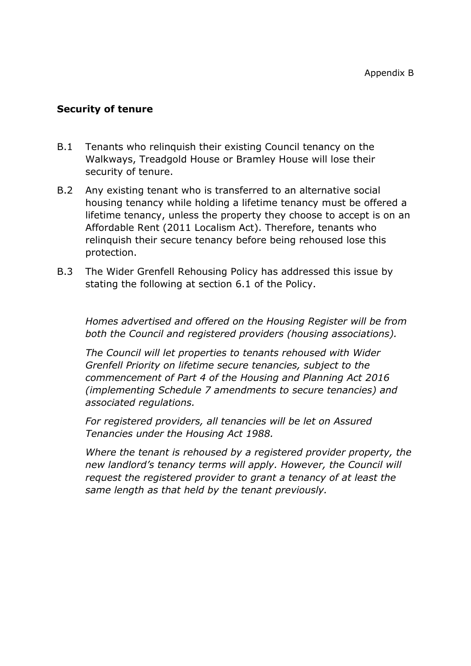### **Security of tenure**

- B.1 Tenants who relinquish their existing Council tenancy on the Walkways, Treadgold House or Bramley House will lose their security of tenure.
- B.2 Any existing tenant who is transferred to an alternative social housing tenancy while holding a lifetime tenancy must be offered a lifetime tenancy, unless the property they choose to accept is on an Affordable Rent (2011 Localism Act). Therefore, tenants who relinquish their secure tenancy before being rehoused lose this protection.
- B.3 The Wider Grenfell Rehousing Policy has addressed this issue by stating the following at section 6.1 of the Policy.

*Homes advertised and offered on the Housing Register will be from both the Council and registered providers (housing associations).* 

*The Council will let properties to tenants rehoused with Wider Grenfell Priority on lifetime secure tenancies, subject to the commencement of Part 4 of the Housing and Planning Act 2016 (implementing Schedule 7 amendments to secure tenancies) and associated regulations.*

*For registered providers, all tenancies will be let on Assured Tenancies under the Housing Act 1988.* 

*Where the tenant is rehoused by a registered provider property, the new landlord's tenancy terms will apply. However, the Council will request the registered provider to grant a tenancy of at least the same length as that held by the tenant previously.*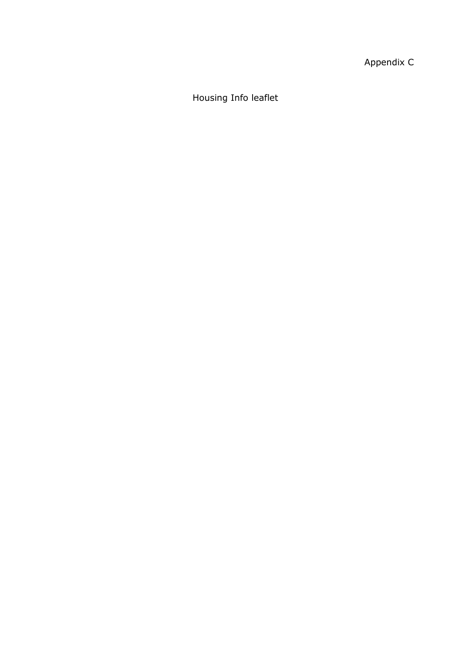Appendix C

Housing Info leaflet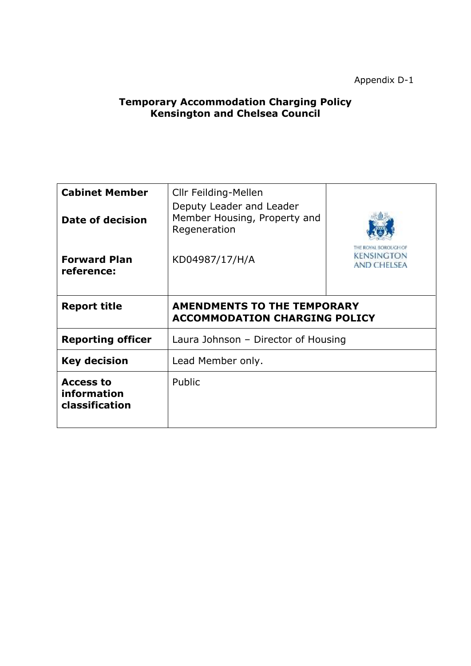Appendix D-1

### **Temporary Accommodation Charging Policy Kensington and Chelsea Council**

| <b>Cabinet Member</b><br>Date of decision         | Cllr Feilding-Mellen<br>Deputy Leader and Leader<br>Member Housing, Property and<br>Regeneration |  |  |
|---------------------------------------------------|--------------------------------------------------------------------------------------------------|--|--|
| <b>Forward Plan</b><br>reference:                 | <b>BOROLIGH OF</b><br><b>KENSINGTON</b><br>KD04987/17/H/A<br>AND CHEISEA                         |  |  |
| <b>Report title</b>                               | <b>AMENDMENTS TO THE TEMPORARY</b><br><b>ACCOMMODATION CHARGING POLICY</b>                       |  |  |
| <b>Reporting officer</b>                          | Laura Johnson - Director of Housing                                                              |  |  |
| <b>Key decision</b>                               | Lead Member only.                                                                                |  |  |
| <b>Access to</b><br>information<br>classification | Public                                                                                           |  |  |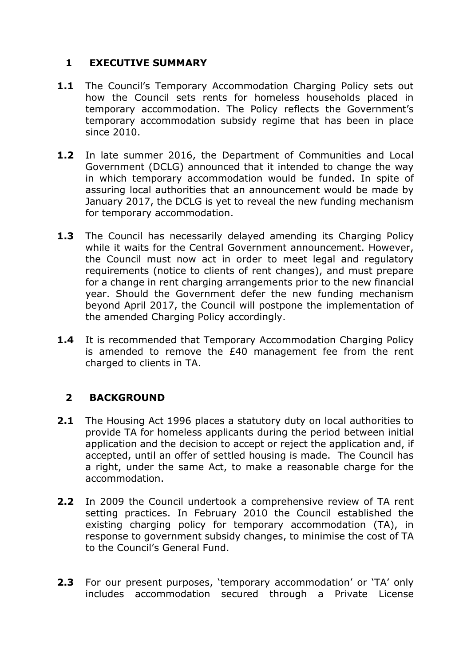# **1 EXECUTIVE SUMMARY**

- 1.1 The Council's Temporary Accommodation Charging Policy sets out how the Council sets rents for homeless households placed in temporary accommodation. The Policy reflects the Government's temporary accommodation subsidy regime that has been in place since 2010.
- **1.2** In late summer 2016, the Department of Communities and Local Government (DCLG) announced that it intended to change the way in which temporary accommodation would be funded. In spite of assuring local authorities that an announcement would be made by January 2017, the DCLG is yet to reveal the new funding mechanism for temporary accommodation.
- **1.3** The Council has necessarily delayed amending its Charging Policy while it waits for the Central Government announcement. However, the Council must now act in order to meet legal and regulatory requirements (notice to clients of rent changes), and must prepare for a change in rent charging arrangements prior to the new financial year. Should the Government defer the new funding mechanism beyond April 2017, the Council will postpone the implementation of the amended Charging Policy accordingly.
- **1.4** It is recommended that Temporary Accommodation Charging Policy is amended to remove the £40 management fee from the rent charged to clients in TA.

# **2 BACKGROUND**

- **2.1** The Housing Act 1996 places a statutory duty on local authorities to provide TA for homeless applicants during the period between initial application and the decision to accept or reject the application and, if accepted, until an offer of settled housing is made. The Council has a right, under the same Act, to make a reasonable charge for the accommodation.
- **2.2** In 2009 the Council undertook a comprehensive review of TA rent setting practices. In February 2010 the Council established the existing charging policy for temporary accommodation (TA), in response to government subsidy changes, to minimise the cost of TA to the Council's General Fund.
- **2.3** For our present purposes, 'temporary accommodation' or 'TA' only includes accommodation secured through a Private License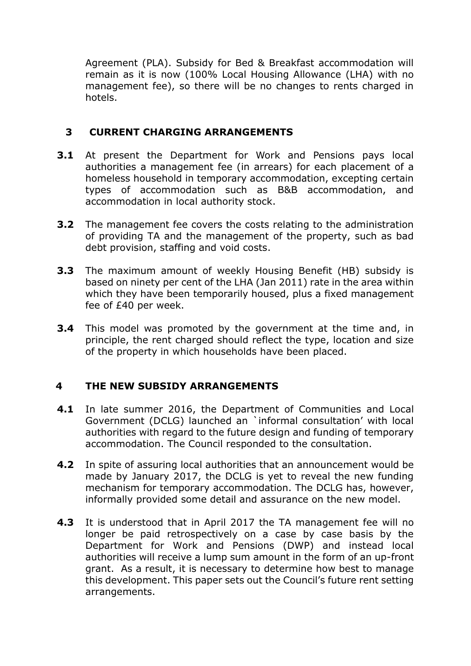Agreement (PLA). Subsidy for Bed & Breakfast accommodation will remain as it is now (100% Local Housing Allowance (LHA) with no management fee), so there will be no changes to rents charged in hotels.

# **3 CURRENT CHARGING ARRANGEMENTS**

- **3.1** At present the Department for Work and Pensions pays local authorities a management fee (in arrears) for each placement of a homeless household in temporary accommodation, excepting certain types of accommodation such as B&B accommodation, and accommodation in local authority stock.
- **3.2** The management fee covers the costs relating to the administration of providing TA and the management of the property, such as bad debt provision, staffing and void costs.
- **3.3** The maximum amount of weekly Housing Benefit (HB) subsidy is based on ninety per cent of the LHA (Jan 2011) rate in the area within which they have been temporarily housed, plus a fixed management fee of £40 per week.
- **3.4** This model was promoted by the government at the time and, in principle, the rent charged should reflect the type, location and size of the property in which households have been placed.

# **4 THE NEW SUBSIDY ARRANGEMENTS**

- **4.1** In late summer 2016, the Department of Communities and Local Government (DCLG) launched an `informal consultation' with local authorities with regard to the future design and funding of temporary accommodation. The Council responded to the consultation.
- **4.2** In spite of assuring local authorities that an announcement would be made by January 2017, the DCLG is yet to reveal the new funding mechanism for temporary accommodation. The DCLG has, however, informally provided some detail and assurance on the new model.
- **4.3** It is understood that in April 2017 the TA management fee will no longer be paid retrospectively on a case by case basis by the Department for Work and Pensions (DWP) and instead local authorities will receive a lump sum amount in the form of an up-front grant. As a result, it is necessary to determine how best to manage this development. This paper sets out the Council's future rent setting arrangements.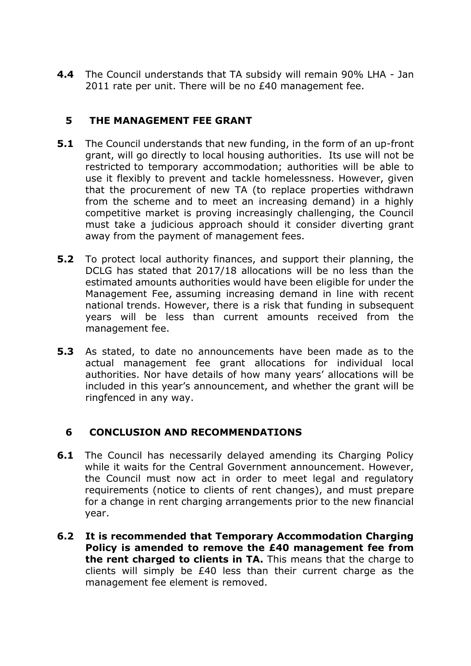**4.4** The Council understands that TA subsidy will remain 90% LHA - Jan 2011 rate per unit. There will be no £40 management fee.

# **5 THE MANAGEMENT FEE GRANT**

- **5.1** The Council understands that new funding, in the form of an up-front grant, will go directly to local housing authorities. Its use will not be restricted to temporary accommodation; authorities will be able to use it flexibly to prevent and tackle homelessness. However, given that the procurement of new TA (to replace properties withdrawn from the scheme and to meet an increasing demand) in a highly competitive market is proving increasingly challenging, the Council must take a judicious approach should it consider diverting grant away from the payment of management fees.
- **5.2** To protect local authority finances, and support their planning, the DCLG has stated that 2017/18 allocations will be no less than the estimated amounts authorities would have been eligible for under the Management Fee, assuming increasing demand in line with recent national trends. However, there is a risk that funding in subsequent years will be less than current amounts received from the management fee.
- **5.3** As stated, to date no announcements have been made as to the actual management fee grant allocations for individual local authorities. Nor have details of how many years' allocations will be included in this year's announcement, and whether the grant will be ringfenced in any way.

# **6 CONCLUSION AND RECOMMENDATIONS**

- **6.1** The Council has necessarily delayed amending its Charging Policy while it waits for the Central Government announcement. However, the Council must now act in order to meet legal and regulatory requirements (notice to clients of rent changes), and must prepare for a change in rent charging arrangements prior to the new financial year.
- **6.2 It is recommended that Temporary Accommodation Charging Policy is amended to remove the £40 management fee from the rent charged to clients in TA.** This means that the charge to clients will simply be £40 less than their current charge as the management fee element is removed.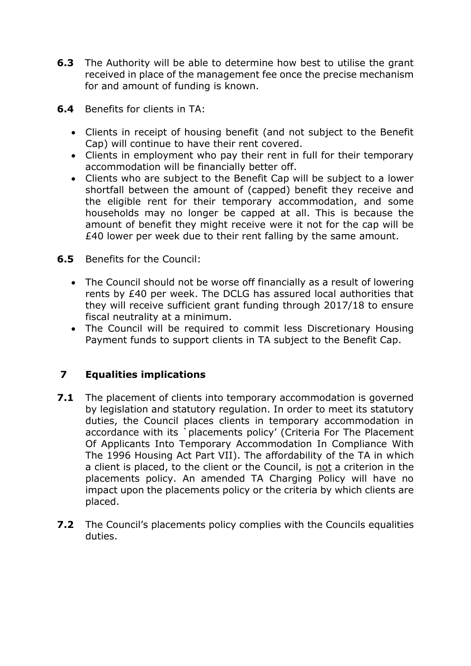- **6.3** The Authority will be able to determine how best to utilise the grant received in place of the management fee once the precise mechanism for and amount of funding is known.
- **6.4** Benefits for clients in TA:
	- Clients in receipt of housing benefit (and not subject to the Benefit Cap) will continue to have their rent covered.
	- Clients in employment who pay their rent in full for their temporary accommodation will be financially better off.
	- Clients who are subject to the Benefit Cap will be subject to a lower shortfall between the amount of (capped) benefit they receive and the eligible rent for their temporary accommodation, and some households may no longer be capped at all. This is because the amount of benefit they might receive were it not for the cap will be £40 lower per week due to their rent falling by the same amount.
- **6.5** Benefits for the Council:
	- The Council should not be worse off financially as a result of lowering rents by £40 per week. The DCLG has assured local authorities that they will receive sufficient grant funding through 2017/18 to ensure fiscal neutrality at a minimum.
	- The Council will be required to commit less Discretionary Housing Payment funds to support clients in TA subject to the Benefit Cap.

# **7 Equalities implications**

- **7.1** The placement of clients into temporary accommodation is governed by legislation and statutory regulation. In order to meet its statutory duties, the Council places clients in temporary accommodation in accordance with its `placements policy' (Criteria For The Placement Of Applicants Into Temporary Accommodation In Compliance With The 1996 Housing Act Part VII). The affordability of the TA in which a client is placed, to the client or the Council, is not a criterion in the placements policy. An amended TA Charging Policy will have no impact upon the placements policy or the criteria by which clients are placed.
- **7.2** The Council's placements policy complies with the Councils equalities duties.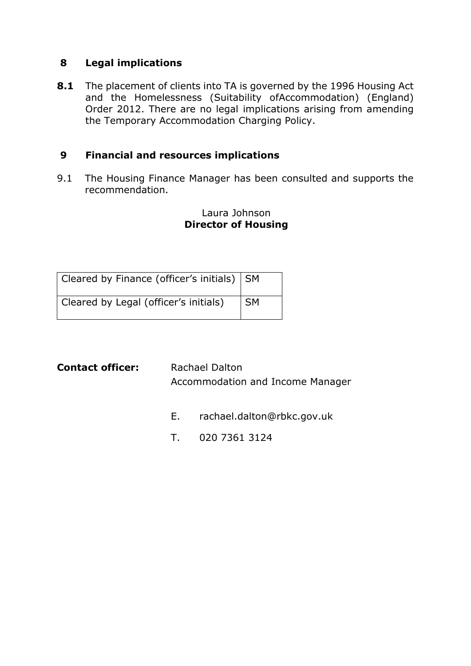### **8 Legal implications**

**8.1** The placement of clients into TA is governed by the 1996 Housing Act and the Homelessness (Suitability ofAccommodation) (England) Order 2012. There are no legal implications arising from amending the Temporary Accommodation Charging Policy.

### **9 Financial and resources implications**

9.1 The Housing Finance Manager has been consulted and supports the recommendation.

### Laura Johnson **Director of Housing**

| Cleared by Finance (officer's initials) SM |      |
|--------------------------------------------|------|
| Cleared by Legal (officer's initials)      | l SM |

| <b>Contact officer:</b> | <b>Rachael Dalton</b>            |
|-------------------------|----------------------------------|
|                         | Accommodation and Income Manager |

- E. [rachael.dalton@rbkc.gov.uk](mailto:rachael.dalton@rbkc.gov.uk)
- T. 020 7361 3124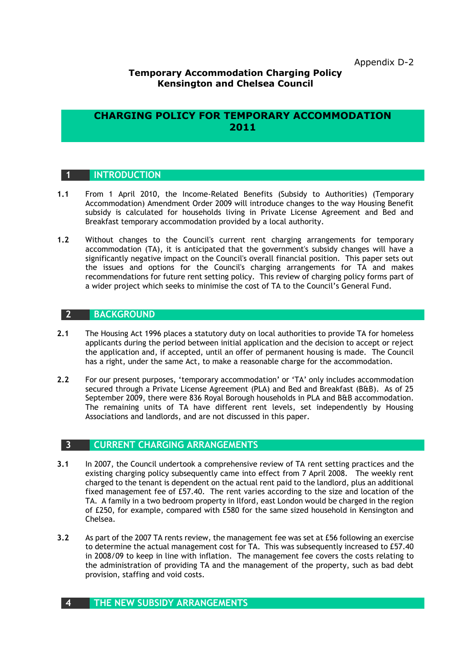#### **Temporary Accommodation Charging Policy Kensington and Chelsea Council**

### **CHARGING POLICY FOR TEMPORARY ACCOMMODATION 2011**

#### **1 INTRODUCTION**

- **1.1** From 1 April 2010, the Income-Related Benefits (Subsidy to Authorities) (Temporary Accommodation) Amendment Order 2009 will introduce changes to the way Housing Benefit subsidy is calculated for households living in Private License Agreement and Bed and Breakfast temporary accommodation provided by a local authority.
- **1.2** Without changes to the Council's current rent charging arrangements for temporary accommodation (TA), it is anticipated that the government's subsidy changes will have a significantly negative impact on the Council's overall financial position. This paper sets out the issues and options for the Council's charging arrangements for TA and makes recommendations for future rent setting policy. This review of charging policy forms part of a wider project which seeks to minimise the cost of TA to the Council's General Fund.

#### **2 BACKGROUND**

- **2.1** The Housing Act 1996 places a statutory duty on local authorities to provide TA for homeless applicants during the period between initial application and the decision to accept or reject the application and, if accepted, until an offer of permanent housing is made. The Council has a right, under the same Act, to make a reasonable charge for the accommodation.
- **2.2** For our present purposes, 'temporary accommodation' or 'TA' only includes accommodation secured through a Private License Agreement (PLA) and Bed and Breakfast (B&B). As of 25 September 2009, there were 836 Royal Borough households in PLA and B&B accommodation. The remaining units of TA have different rent levels, set independently by Housing Associations and landlords, and are not discussed in this paper.

#### **3 CURRENT CHARGING ARRANGEMENTS**

- **3.1** In 2007, the Council undertook a comprehensive review of TA rent setting practices and the existing charging policy subsequently came into effect from 7 April 2008. The weekly rent charged to the tenant is dependent on the actual rent paid to the landlord, plus an additional fixed management fee of £57.40. The rent varies according to the size and location of the TA. A family in a two bedroom property in Ilford, east London would be charged in the region of £250, for example, compared with £580 for the same sized household in Kensington and Chelsea.
- **3.2** As part of the 2007 TA rents review, the management fee was set at £56 following an exercise to determine the actual management cost for TA. This was subsequently increased to £57.40 in 2008/09 to keep in line with inflation. The management fee covers the costs relating to the administration of providing TA and the management of the property, such as bad debt provision, staffing and void costs.

#### **4 THE NEW SUBSIDY ARRANGEMENTS**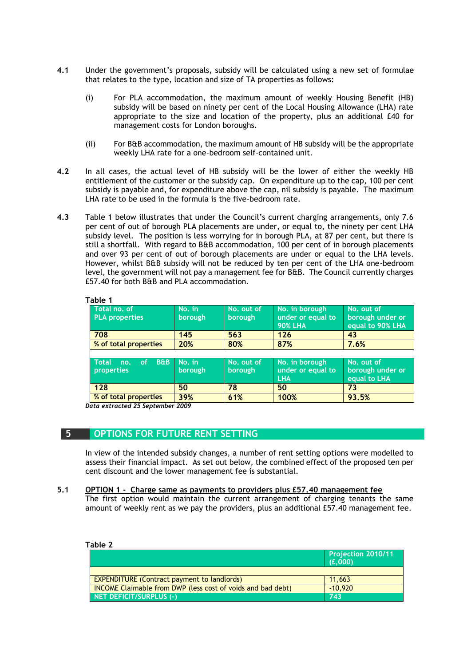- **4.1** Under the government's proposals, subsidy will be calculated using a new set of formulae that relates to the type, location and size of TA properties as follows:
	- (i) For PLA accommodation, the maximum amount of weekly Housing Benefit (HB) subsidy will be based on ninety per cent of the Local Housing Allowance (LHA) rate appropriate to the size and location of the property, plus an additional £40 for management costs for London boroughs.
	- (ii) For B&B accommodation, the maximum amount of HB subsidy will be the appropriate weekly LHA rate for a one-bedroom self-contained unit.
- **4.2** In all cases, the actual level of HB subsidy will be the lower of either the weekly HB entitlement of the customer or the subsidy cap. On expenditure up to the cap, 100 per cent subsidy is payable and, for expenditure above the cap, nil subsidy is payable. The maximum LHA rate to be used in the formula is the five-bedroom rate.
- **4.3** Table 1 below illustrates that under the Council's current charging arrangements, only 7.6 per cent of out of borough PLA placements are under, or equal to, the ninety per cent LHA subsidy level. The position is less worrying for in borough PLA, at 87 per cent, but there is still a shortfall. With regard to B&B accommodation, 100 per cent of in borough placements and over 93 per cent of out of borough placements are under or equal to the LHA levels. However, whilst B&B subsidy will not be reduced by ten per cent of the LHA one-bedroom level, the government will not pay a management fee for B&B. The Council currently charges £57.40 for both B&B and PLA accommodation.

| rable 1                                                 |                   |                              |                                                       |                                                    |
|---------------------------------------------------------|-------------------|------------------------------|-------------------------------------------------------|----------------------------------------------------|
| Total no. of<br><b>PLA properties</b>                   | No. in<br>borough | No. out of<br>borough        | No. in borough<br>under or equal to<br><b>90% LHA</b> | No. out of<br>borough under or<br>equal to 90% LHA |
| 708                                                     | 145               | 563                          | 126                                                   | 43                                                 |
| % of total properties                                   | 20%               | 80%                          | 87%                                                   | 7.6%                                               |
|                                                         |                   |                              |                                                       |                                                    |
| $B\oplus B$<br><b>Total</b><br>of.<br>no.<br>properties | No. in<br>borough | No. out of<br><b>borough</b> | No. in borough<br>under or equal to<br><b>LHA</b>     | No. out of<br>borough under or<br>equal to LHA     |
| 128                                                     | 50                | 78                           | 50                                                    | 73                                                 |
| % of total properties                                   | 39%               | 61%                          | 100%                                                  | 93.5%                                              |

#### **Table 1**

*Data extracted 25 September 2009*

#### **5 OPTIONS FOR FUTURE RENT SETTING**

In view of the intended subsidy changes, a number of rent setting options were modelled to assess their financial impact. As set out below, the combined effect of the proposed ten per cent discount and the lower management fee is substantial.

#### **5.1 OPTION 1 - Charge same as payments to providers plus £57.40 management fee**

The first option would maintain the current arrangement of charging tenants the same amount of weekly rent as we pay the providers, plus an additional £57.40 management fee.

| Table 2                                                            |                                      |
|--------------------------------------------------------------------|--------------------------------------|
|                                                                    | <b>Projection 2010/11</b><br>(E,000) |
|                                                                    |                                      |
| <b>EXPENDITURE (Contract payment to landlords)</b>                 | 11,663                               |
| <b>INCOME Claimable from DWP (less cost of voids and bad debt)</b> | $-10.920$                            |
| NET DEFICIT/SURPLUS (-)                                            | 743                                  |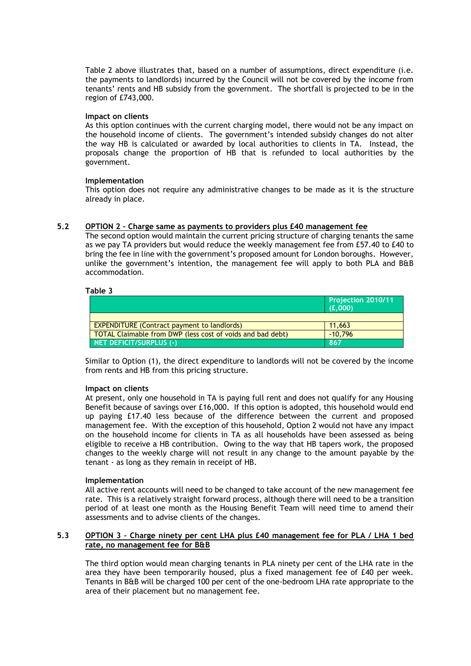Table 2 above illustrates that, based on a number of assumptions, direct expenditure (i.e. the payments to landlords) incurred by the Council will not be covered by the income from tenants' rents and HB subsidy from the government. The shortfall is projected to be in the region of £743,000.

#### **Impact on clients**

As this option continues with the current charging model, there would not be any impact on the household income of clients. The government's intended subsidy changes do not alter the way HB is calculated or awarded by local authorities to clients in TA. Instead, the proposals change the proportion of HB that is refunded to local authorities by the government.

#### **Implementation**

This option does not require any administrative changes to be made as it is the structure already in place.

#### **5.2 OPTION 2 – Charge same as payments to providers plus £40 management fee**

The second option would maintain the current pricing structure of charging tenants the same as we pay TA providers but would reduce the weekly management fee from £57.40 to £40 to bring the fee in line with the government's proposed amount for London boroughs. However, unlike the government's intention, the management fee will apply to both PLA and B&B accommodation.

#### **Table 3**

|                                                            | Projection 2010/11<br>(f.000) |
|------------------------------------------------------------|-------------------------------|
|                                                            |                               |
| <b>EXPENDITURE (Contract payment to landlords)</b>         | 11.663                        |
| TOTAL Claimable from DWP (less cost of voids and bad debt) | $-10.796$                     |
| NET DEFICIT/SURPLUS (-)                                    | 867                           |

Similar to Option (1), the direct expenditure to landlords will not be covered by the income from rents and HB from this pricing structure.

#### **Impact on clients**

At present, only one household in TA is paying full rent and does not qualify for any Housing Benefit because of savings over £16,000. If this option is adopted, this household would end up paying £17.40 less because of the difference between the current and proposed management fee. With the exception of this household, Option 2 would not have any impact on the household income for clients in TA as all households have been assessed as being eligible to receive a HB contribution. Owing to the way that HB tapers work, the proposed changes to the weekly charge will not result in any change to the amount payable by the tenant - as long as they remain in receipt of HB.

#### **Implementation**

All active rent accounts will need to be changed to take account of the new management fee rate. This is a relatively straight forward process, although there will need to be a transition period of at least one month as the Housing Benefit Team will need time to amend their assessments and to advise clients of the changes.

#### **5.3 OPTION 3 – Charge ninety per cent LHA plus £40 management fee for PLA / LHA 1 bed rate, no management fee for B&B**

The third option would mean charging tenants in PLA ninety per cent of the LHA rate in the area they have been temporarily housed, plus a fixed management fee of £40 per week. Tenants in B&B will be charged 100 per cent of the one-bedroom LHA rate appropriate to the area of their placement but no management fee.